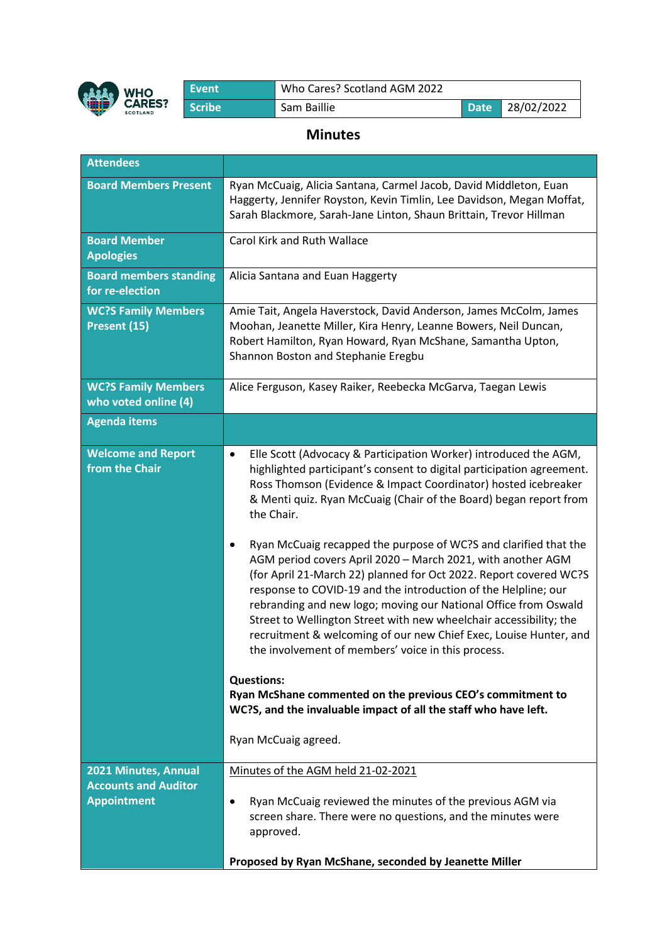

| .,  |
|-----|
| וצי |

 $\overline{\phantom{a}}$ 

## **Minutes**

| <b>Attendees</b>                                                          |                                                                                                                                                                                                                                                                                                                                                                                                                                                                                                                                                                                                                                                                                                                                                                                                                                                                                                                                                                                                                                         |
|---------------------------------------------------------------------------|-----------------------------------------------------------------------------------------------------------------------------------------------------------------------------------------------------------------------------------------------------------------------------------------------------------------------------------------------------------------------------------------------------------------------------------------------------------------------------------------------------------------------------------------------------------------------------------------------------------------------------------------------------------------------------------------------------------------------------------------------------------------------------------------------------------------------------------------------------------------------------------------------------------------------------------------------------------------------------------------------------------------------------------------|
| <b>Board Members Present</b>                                              | Ryan McCuaig, Alicia Santana, Carmel Jacob, David Middleton, Euan<br>Haggerty, Jennifer Royston, Kevin Timlin, Lee Davidson, Megan Moffat,<br>Sarah Blackmore, Sarah-Jane Linton, Shaun Brittain, Trevor Hillman                                                                                                                                                                                                                                                                                                                                                                                                                                                                                                                                                                                                                                                                                                                                                                                                                        |
| <b>Board Member</b><br><b>Apologies</b>                                   | Carol Kirk and Ruth Wallace                                                                                                                                                                                                                                                                                                                                                                                                                                                                                                                                                                                                                                                                                                                                                                                                                                                                                                                                                                                                             |
| <b>Board members standing</b><br>for re-election                          | Alicia Santana and Euan Haggerty                                                                                                                                                                                                                                                                                                                                                                                                                                                                                                                                                                                                                                                                                                                                                                                                                                                                                                                                                                                                        |
| <b>WC?S Family Members</b><br>Present (15)                                | Amie Tait, Angela Haverstock, David Anderson, James McColm, James<br>Moohan, Jeanette Miller, Kira Henry, Leanne Bowers, Neil Duncan,<br>Robert Hamilton, Ryan Howard, Ryan McShane, Samantha Upton,<br>Shannon Boston and Stephanie Eregbu                                                                                                                                                                                                                                                                                                                                                                                                                                                                                                                                                                                                                                                                                                                                                                                             |
| <b>WC?S Family Members</b><br>who voted online (4)                        | Alice Ferguson, Kasey Raiker, Reebecka McGarva, Taegan Lewis                                                                                                                                                                                                                                                                                                                                                                                                                                                                                                                                                                                                                                                                                                                                                                                                                                                                                                                                                                            |
| <b>Agenda items</b>                                                       |                                                                                                                                                                                                                                                                                                                                                                                                                                                                                                                                                                                                                                                                                                                                                                                                                                                                                                                                                                                                                                         |
| <b>Welcome and Report</b><br>from the Chair                               | Elle Scott (Advocacy & Participation Worker) introduced the AGM,<br>$\bullet$<br>highlighted participant's consent to digital participation agreement.<br>Ross Thomson (Evidence & Impact Coordinator) hosted icebreaker<br>& Menti quiz. Ryan McCuaig (Chair of the Board) began report from<br>the Chair.<br>Ryan McCuaig recapped the purpose of WC?S and clarified that the<br>AGM period covers April 2020 - March 2021, with another AGM<br>(for April 21-March 22) planned for Oct 2022. Report covered WC?S<br>response to COVID-19 and the introduction of the Helpline; our<br>rebranding and new logo; moving our National Office from Oswald<br>Street to Wellington Street with new wheelchair accessibility; the<br>recruitment & welcoming of our new Chief Exec, Louise Hunter, and<br>the involvement of members' voice in this process.<br><b>Questions:</b><br>Ryan McShane commented on the previous CEO's commitment to<br>WC?S, and the invaluable impact of all the staff who have left.<br>Ryan McCuaig agreed. |
| 2021 Minutes, Annual<br><b>Accounts and Auditor</b><br><b>Appointment</b> | Minutes of the AGM held 21-02-2021<br>Ryan McCuaig reviewed the minutes of the previous AGM via<br>$\bullet$<br>screen share. There were no questions, and the minutes were<br>approved.                                                                                                                                                                                                                                                                                                                                                                                                                                                                                                                                                                                                                                                                                                                                                                                                                                                |
|                                                                           | Proposed by Ryan McShane, seconded by Jeanette Miller                                                                                                                                                                                                                                                                                                                                                                                                                                                                                                                                                                                                                                                                                                                                                                                                                                                                                                                                                                                   |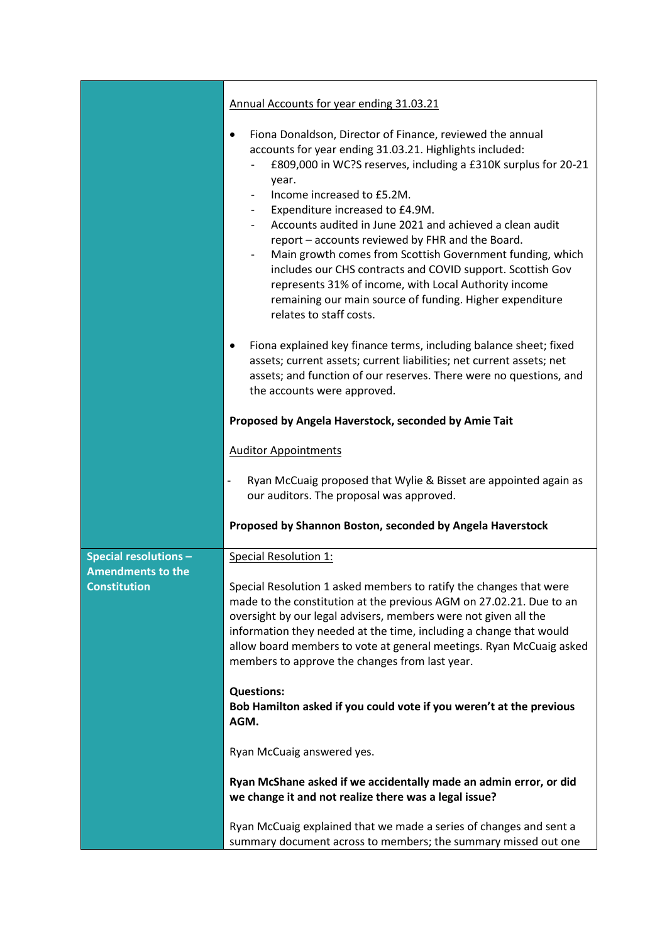|                                                   | Annual Accounts for year ending 31.03.21                                                                                                                                                                                                                                                                                                                                                                                                                                                                                                                                                                                                                    |
|---------------------------------------------------|-------------------------------------------------------------------------------------------------------------------------------------------------------------------------------------------------------------------------------------------------------------------------------------------------------------------------------------------------------------------------------------------------------------------------------------------------------------------------------------------------------------------------------------------------------------------------------------------------------------------------------------------------------------|
|                                                   | Fiona Donaldson, Director of Finance, reviewed the annual<br>accounts for year ending 31.03.21. Highlights included:<br>£809,000 in WC?S reserves, including a £310K surplus for 20-21<br>year.<br>Income increased to £5.2M.<br>Expenditure increased to £4.9M.<br>Accounts audited in June 2021 and achieved a clean audit<br>report - accounts reviewed by FHR and the Board.<br>Main growth comes from Scottish Government funding, which<br>includes our CHS contracts and COVID support. Scottish Gov<br>represents 31% of income, with Local Authority income<br>remaining our main source of funding. Higher expenditure<br>relates to staff costs. |
|                                                   | Fiona explained key finance terms, including balance sheet; fixed<br>assets; current assets; current liabilities; net current assets; net<br>assets; and function of our reserves. There were no questions, and<br>the accounts were approved.                                                                                                                                                                                                                                                                                                                                                                                                              |
|                                                   | Proposed by Angela Haverstock, seconded by Amie Tait                                                                                                                                                                                                                                                                                                                                                                                                                                                                                                                                                                                                        |
|                                                   | <b>Auditor Appointments</b>                                                                                                                                                                                                                                                                                                                                                                                                                                                                                                                                                                                                                                 |
|                                                   | Ryan McCuaig proposed that Wylie & Bisset are appointed again as<br>our auditors. The proposal was approved.                                                                                                                                                                                                                                                                                                                                                                                                                                                                                                                                                |
|                                                   | Proposed by Shannon Boston, seconded by Angela Haverstock                                                                                                                                                                                                                                                                                                                                                                                                                                                                                                                                                                                                   |
| Special resolutions -<br><b>Amendments to the</b> | <b>Special Resolution 1:</b>                                                                                                                                                                                                                                                                                                                                                                                                                                                                                                                                                                                                                                |
| <b>Constitution</b>                               | Special Resolution 1 asked members to ratify the changes that were<br>made to the constitution at the previous AGM on 27.02.21. Due to an<br>oversight by our legal advisers, members were not given all the<br>information they needed at the time, including a change that would<br>allow board members to vote at general meetings. Ryan McCuaig asked<br>members to approve the changes from last year.                                                                                                                                                                                                                                                 |
|                                                   | <b>Questions:</b><br>Bob Hamilton asked if you could vote if you weren't at the previous<br>AGM.                                                                                                                                                                                                                                                                                                                                                                                                                                                                                                                                                            |
|                                                   | Ryan McCuaig answered yes.                                                                                                                                                                                                                                                                                                                                                                                                                                                                                                                                                                                                                                  |
|                                                   | Ryan McShane asked if we accidentally made an admin error, or did<br>we change it and not realize there was a legal issue?                                                                                                                                                                                                                                                                                                                                                                                                                                                                                                                                  |
|                                                   | Ryan McCuaig explained that we made a series of changes and sent a<br>summary document across to members; the summary missed out one                                                                                                                                                                                                                                                                                                                                                                                                                                                                                                                        |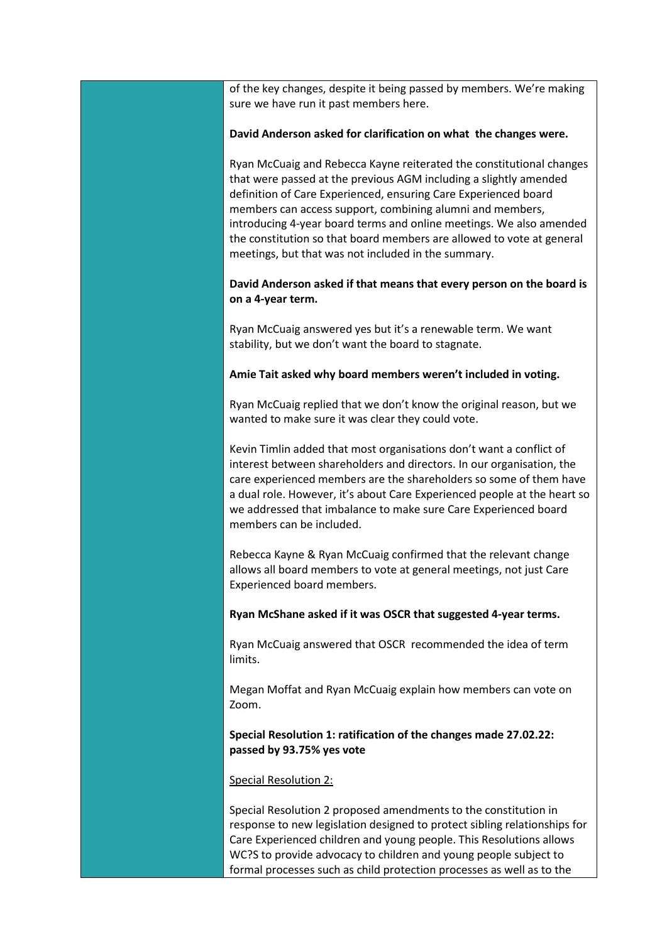| of the key changes, despite it being passed by members. We're making<br>sure we have run it past members here.                                                                                                                                                                                                                                                                                                                                                                   |
|----------------------------------------------------------------------------------------------------------------------------------------------------------------------------------------------------------------------------------------------------------------------------------------------------------------------------------------------------------------------------------------------------------------------------------------------------------------------------------|
| David Anderson asked for clarification on what the changes were.                                                                                                                                                                                                                                                                                                                                                                                                                 |
| Ryan McCuaig and Rebecca Kayne reiterated the constitutional changes<br>that were passed at the previous AGM including a slightly amended<br>definition of Care Experienced, ensuring Care Experienced board<br>members can access support, combining alumni and members,<br>introducing 4-year board terms and online meetings. We also amended<br>the constitution so that board members are allowed to vote at general<br>meetings, but that was not included in the summary. |
| David Anderson asked if that means that every person on the board is<br>on a 4-year term.                                                                                                                                                                                                                                                                                                                                                                                        |
| Ryan McCuaig answered yes but it's a renewable term. We want<br>stability, but we don't want the board to stagnate.                                                                                                                                                                                                                                                                                                                                                              |
| Amie Tait asked why board members weren't included in voting.                                                                                                                                                                                                                                                                                                                                                                                                                    |
| Ryan McCuaig replied that we don't know the original reason, but we<br>wanted to make sure it was clear they could vote.                                                                                                                                                                                                                                                                                                                                                         |
| Kevin Timlin added that most organisations don't want a conflict of<br>interest between shareholders and directors. In our organisation, the<br>care experienced members are the shareholders so some of them have<br>a dual role. However, it's about Care Experienced people at the heart so<br>we addressed that imbalance to make sure Care Experienced board<br>members can be included.                                                                                    |
| Rebecca Kayne & Ryan McCuaig confirmed that the relevant change<br>allows all board members to vote at general meetings, not just Care<br>Experienced board members.                                                                                                                                                                                                                                                                                                             |
| Ryan McShane asked if it was OSCR that suggested 4-year terms.                                                                                                                                                                                                                                                                                                                                                                                                                   |
| Ryan McCuaig answered that OSCR recommended the idea of term<br>limits.                                                                                                                                                                                                                                                                                                                                                                                                          |
| Megan Moffat and Ryan McCuaig explain how members can vote on<br>Zoom.                                                                                                                                                                                                                                                                                                                                                                                                           |
| Special Resolution 1: ratification of the changes made 27.02.22:<br>passed by 93.75% yes vote                                                                                                                                                                                                                                                                                                                                                                                    |
| <b>Special Resolution 2:</b>                                                                                                                                                                                                                                                                                                                                                                                                                                                     |
| Special Resolution 2 proposed amendments to the constitution in<br>response to new legislation designed to protect sibling relationships for<br>Care Experienced children and young people. This Resolutions allows                                                                                                                                                                                                                                                              |

WC?S to provide advocacy to children and young people subject to formal processes such as child protection processes as well as to the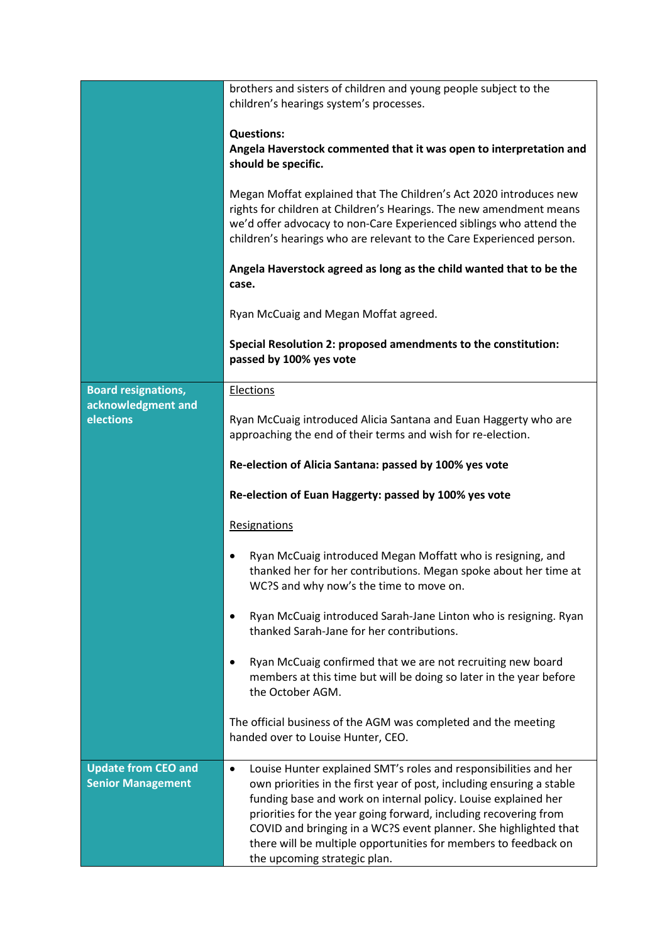|                                                        | brothers and sisters of children and young people subject to the<br>children's hearings system's processes.                                                                                                                                                                              |
|--------------------------------------------------------|------------------------------------------------------------------------------------------------------------------------------------------------------------------------------------------------------------------------------------------------------------------------------------------|
|                                                        | <b>Questions:</b><br>Angela Haverstock commented that it was open to interpretation and<br>should be specific.                                                                                                                                                                           |
|                                                        | Megan Moffat explained that The Children's Act 2020 introduces new<br>rights for children at Children's Hearings. The new amendment means<br>we'd offer advocacy to non-Care Experienced siblings who attend the<br>children's hearings who are relevant to the Care Experienced person. |
|                                                        | Angela Haverstock agreed as long as the child wanted that to be the<br>case.                                                                                                                                                                                                             |
|                                                        | Ryan McCuaig and Megan Moffat agreed.                                                                                                                                                                                                                                                    |
|                                                        | Special Resolution 2: proposed amendments to the constitution:<br>passed by 100% yes vote                                                                                                                                                                                                |
| <b>Board resignations,</b>                             | Elections                                                                                                                                                                                                                                                                                |
| acknowledgment and<br>elections                        | Ryan McCuaig introduced Alicia Santana and Euan Haggerty who are<br>approaching the end of their terms and wish for re-election.                                                                                                                                                         |
|                                                        | Re-election of Alicia Santana: passed by 100% yes vote                                                                                                                                                                                                                                   |
|                                                        | Re-election of Euan Haggerty: passed by 100% yes vote                                                                                                                                                                                                                                    |
|                                                        | Resignations                                                                                                                                                                                                                                                                             |
|                                                        | Ryan McCuaig introduced Megan Moffatt who is resigning, and<br>thanked her for her contributions. Megan spoke about her time at<br>WC?S and why now's the time to move on.                                                                                                               |
|                                                        | Ryan McCuaig introduced Sarah-Jane Linton who is resigning. Ryan<br>thanked Sarah-Jane for her contributions.                                                                                                                                                                            |
|                                                        | Ryan McCuaig confirmed that we are not recruiting new board<br>members at this time but will be doing so later in the year before<br>the October AGM.                                                                                                                                    |
|                                                        | The official business of the AGM was completed and the meeting<br>handed over to Louise Hunter, CEO.                                                                                                                                                                                     |
| <b>Update from CEO and</b><br><b>Senior Management</b> | Louise Hunter explained SMT's roles and responsibilities and her<br>$\bullet$<br>own priorities in the first year of post, including ensuring a stable                                                                                                                                   |
|                                                        | funding base and work on internal policy. Louise explained her                                                                                                                                                                                                                           |
|                                                        | priorities for the year going forward, including recovering from<br>COVID and bringing in a WC?S event planner. She highlighted that                                                                                                                                                     |
|                                                        | there will be multiple opportunities for members to feedback on<br>the upcoming strategic plan.                                                                                                                                                                                          |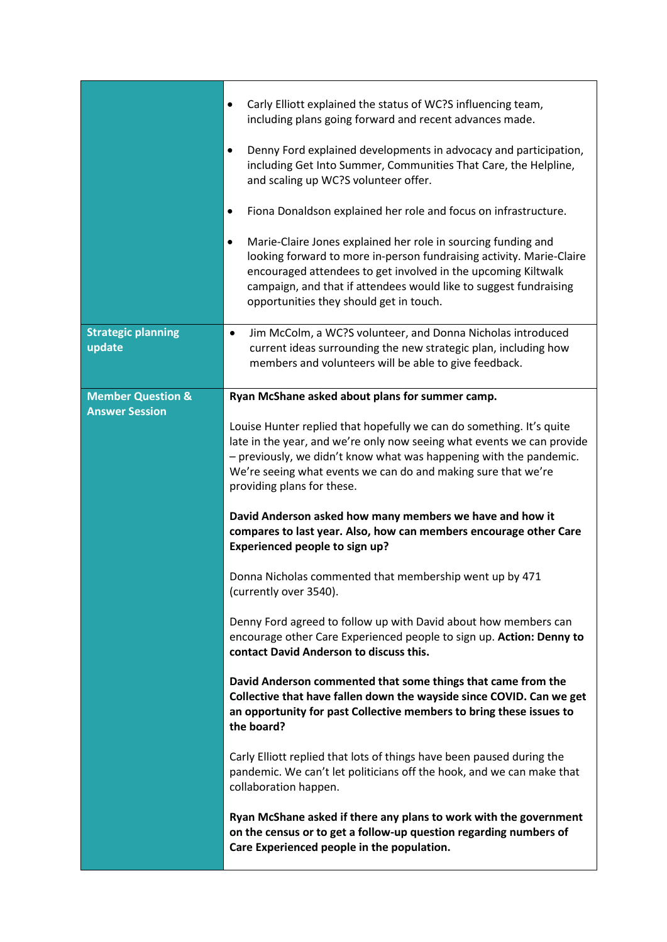|                                                       | Carly Elliott explained the status of WC?S influencing team,<br>٠<br>including plans going forward and recent advances made.<br>Denny Ford explained developments in advocacy and participation,<br>$\bullet$                                                                                                               |
|-------------------------------------------------------|-----------------------------------------------------------------------------------------------------------------------------------------------------------------------------------------------------------------------------------------------------------------------------------------------------------------------------|
|                                                       | including Get Into Summer, Communities That Care, the Helpline,<br>and scaling up WC?S volunteer offer.                                                                                                                                                                                                                     |
|                                                       | Fiona Donaldson explained her role and focus on infrastructure.<br>٠                                                                                                                                                                                                                                                        |
|                                                       | Marie-Claire Jones explained her role in sourcing funding and<br>٠<br>looking forward to more in-person fundraising activity. Marie-Claire<br>encouraged attendees to get involved in the upcoming Kiltwalk<br>campaign, and that if attendees would like to suggest fundraising<br>opportunities they should get in touch. |
| <b>Strategic planning</b><br>update                   | Jim McColm, a WC?S volunteer, and Donna Nicholas introduced<br>$\bullet$<br>current ideas surrounding the new strategic plan, including how<br>members and volunteers will be able to give feedback.                                                                                                                        |
| <b>Member Question &amp;</b><br><b>Answer Session</b> | Ryan McShane asked about plans for summer camp.                                                                                                                                                                                                                                                                             |
|                                                       | Louise Hunter replied that hopefully we can do something. It's quite<br>late in the year, and we're only now seeing what events we can provide<br>- previously, we didn't know what was happening with the pandemic.<br>We're seeing what events we can do and making sure that we're<br>providing plans for these.         |
|                                                       | David Anderson asked how many members we have and how it<br>compares to last year. Also, how can members encourage other Care<br><b>Experienced people to sign up?</b>                                                                                                                                                      |
|                                                       | Donna Nicholas commented that membership went up by 471<br>(currently over 3540).                                                                                                                                                                                                                                           |
|                                                       | Denny Ford agreed to follow up with David about how members can<br>encourage other Care Experienced people to sign up. Action: Denny to<br>contact David Anderson to discuss this.                                                                                                                                          |
|                                                       | David Anderson commented that some things that came from the<br>Collective that have fallen down the wayside since COVID. Can we get<br>an opportunity for past Collective members to bring these issues to                                                                                                                 |
|                                                       | the board?                                                                                                                                                                                                                                                                                                                  |
|                                                       | Carly Elliott replied that lots of things have been paused during the<br>pandemic. We can't let politicians off the hook, and we can make that<br>collaboration happen.                                                                                                                                                     |